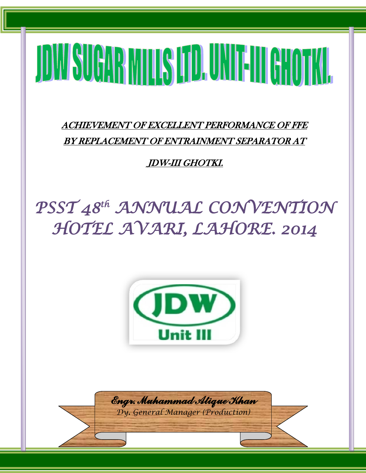# JOW SUGAR MINIS [JD. UNIT-III] GHOTKI.

i

ACHIEVEMENT OF EXCELLENT PERFORMANCE OF FFE BY REPLACEMENT OF ENTRAINMENT SEPARATOR AT

JDW-III GHOTKI.

# *PSST 48th ANNUAL CONVENTION HOTEL AVARI, LAHORE. 2014*



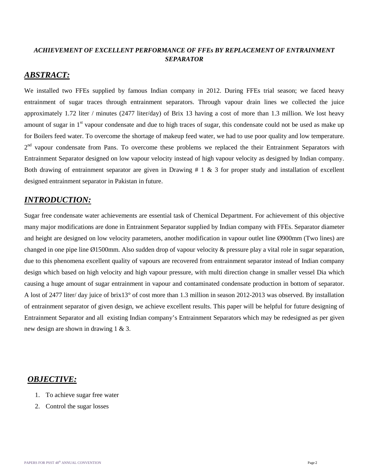### *ACHIEVEMENT OF EXCELLENT PERFORMANCE OF FFEs BY REPLACEMENT OF ENTRAINMENT SEPARATOR*

### *ABSTRACT:*

We installed two FFEs supplied by famous Indian company in 2012. During FFEs trial season; we faced heavy entrainment of sugar traces through entrainment separators. Through vapour drain lines we collected the juice approximately 1.72 liter / minutes (2477 liter/day) of Brix 13 having a cost of more than 1.3 million. We lost heavy amount of sugar in 1<sup>st</sup> vapour condensate and due to high traces of sugar, this condensate could not be used as make up for Boilers feed water. To overcome the shortage of makeup feed water, we had to use poor quality and low temperature.  $2<sup>nd</sup>$  vapour condensate from Pans. To overcome these problems we replaced the their Entrainment Separators with Entrainment Separator designed on low vapour velocity instead of high vapour velocity as designed by Indian company. Both drawing of entrainment separator are given in Drawing  $# 1 \& 3$  for proper study and installation of excellent designed entrainment separator in Pakistan in future.

# *INTRODUCTION:*

Sugar free condensate water achievements are essential task of Chemical Department. For achievement of this objective many major modifications are done in Entrainment Separator supplied by Indian company with FFEs. Separator diameter and height are designed on low velocity parameters, another modification in vapour outlet line Ø900mm (Two lines) are changed in one pipe line Ø1500mm. Also sudden drop of vapour velocity & pressure play a vital role in sugar separation, due to this phenomena excellent quality of vapours are recovered from entrainment separator instead of Indian company design which based on high velocity and high vapour pressure, with multi direction change in smaller vessel Dia which causing a huge amount of sugar entrainment in vapour and contaminated condensate production in bottom of separator. A lost of 2477 liter/ day juice of brix13° of cost more than 1.3 million in season 2012-2013 was observed. By installation of entrainment separator of given design, we achieve excellent results. This paper will be helpful for future designing of Entrainment Separator and all existing Indian company's Entrainment Separators which may be redesigned as per given new design are shown in drawing 1 & 3.

# *OBJECTIVE:*

- 1. To achieve sugar free water
- 2. Control the sugar losses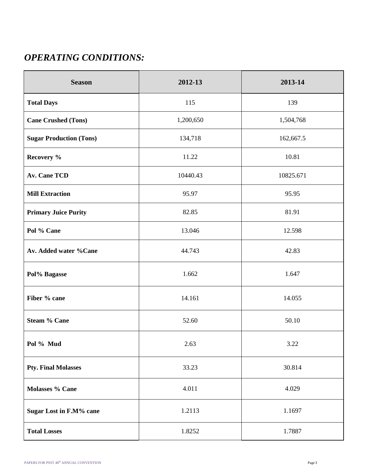# *OPERATING CONDITIONS:*

| <b>Season</b>                  | 2012-13   | 2013-14   |  |
|--------------------------------|-----------|-----------|--|
| <b>Total Days</b>              | 115       | 139       |  |
| <b>Cane Crushed (Tons)</b>     | 1,200,650 | 1,504,768 |  |
| <b>Sugar Production (Tons)</b> | 134,718   | 162,667.5 |  |
| Recovery %                     | 11.22     | 10.81     |  |
| <b>Av. Cane TCD</b>            | 10440.43  | 10825.671 |  |
| <b>Mill Extraction</b>         | 95.97     | 95.95     |  |
| <b>Primary Juice Purity</b>    | 82.85     | 81.91     |  |
| Pol % Cane                     | 13.046    | 12.598    |  |
| Av. Added water %Cane          | 44.743    | 42.83     |  |
| Pol% Bagasse                   | 1.662     | 1.647     |  |
| Fiber % cane                   | 14.161    | 14.055    |  |
| <b>Steam % Cane</b>            | 52.60     | 50.10     |  |
| Pol % Mud                      | 2.63      | 3.22      |  |
| <b>Pty. Final Molasses</b>     | 33.23     | 30.814    |  |
| Molasses % Cane                | 4.011     | 4.029     |  |
| <b>Sugar Lost in F.M% cane</b> | 1.2113    | 1.1697    |  |
| <b>Total Losses</b>            | 1.8252    | 1.7887    |  |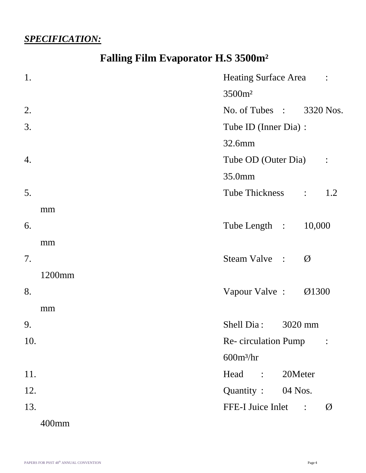# *SPECIFICATION:*

# **Falling Film Evaporator H.S 3500m²**

| 1.  |        | Heating Surface Area :   |               |                      |               |
|-----|--------|--------------------------|---------------|----------------------|---------------|
|     |        | 3500m <sup>2</sup>       |               |                      |               |
| 2.  |        | No. of Tubes : 3320 Nos. |               |                      |               |
| 3.  |        | Tube ID (Inner Dia) :    |               |                      |               |
|     |        | 32.6mm                   |               |                      |               |
| 4.  |        | Tube OD (Outer Dia)      |               | $\sim$ $\sim$ $\sim$ |               |
|     |        | 35.0mm                   |               |                      |               |
| 5.  |        | Tube Thickness :         |               |                      | 1.2           |
|     | mm     |                          |               |                      |               |
| 6.  |        | Tube Length :            |               | 10,000               |               |
|     | mm     |                          |               |                      |               |
| 7.  |        | Steam Valve :            |               | Ø                    |               |
|     | 1200mm |                          |               |                      |               |
| 8.  |        | Vapour Valve:            |               | Ø1300                |               |
|     | mm     |                          |               |                      |               |
| 9.  |        | Shell Dia: 3020 mm       |               |                      |               |
| 10. |        | Re-circulation Pump      |               |                      |               |
|     |        | $600m^3/hr$              |               |                      |               |
| 11. |        | Head :                   | 20Meter       |                      |               |
| 12. |        | Quantity: 04 Nos.        |               |                      |               |
| 13. |        | FFE-I Juice Inlet        | $\frac{1}{2}$ |                      | $\varnothing$ |
|     | 400mm  |                          |               |                      |               |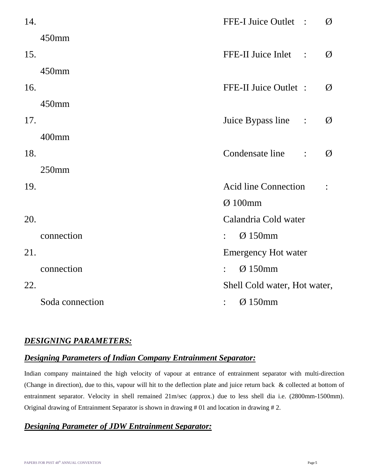| 14. |                 |                | FFE-I Juice Outlet :                       | Ø |
|-----|-----------------|----------------|--------------------------------------------|---|
|     | 450mm           |                |                                            |   |
| 15. |                 |                | FFE-II Juice Inlet<br>$\ddot{\phantom{1}}$ | Ø |
|     | 450mm           |                |                                            |   |
| 16. |                 |                | FFE-II Juice Outlet :                      | Ø |
|     | 450mm           |                |                                            |   |
| 17. |                 |                | Juice Bypass line<br>$\ddot{\cdot}$        | Ø |
|     | 400mm           |                |                                            |   |
| 18. |                 |                | Condensate line<br>$\ddot{\cdot}$          | Ø |
|     | $250$ mm        |                |                                            |   |
| 19. |                 |                | <b>Acid line Connection</b>                |   |
|     |                 |                | $Ø$ 100mm                                  |   |
| 20. |                 |                | Calandria Cold water                       |   |
|     | connection      |                | Ø150mm                                     |   |
| 21. |                 |                | <b>Emergency Hot water</b>                 |   |
|     | connection      |                | $Ø$ 150mm                                  |   |
| 22. |                 |                | Shell Cold water, Hot water,               |   |
|     | Soda connection | $\ddot{\cdot}$ | Ø150mm                                     |   |

## *DESIGNING PARAMETERS:*

# *Designing Parameters of Indian Company Entrainment Separator:*

Indian company maintained the high velocity of vapour at entrance of entrainment separator with multi-direction (Change in direction), due to this, vapour will hit to the deflection plate and juice return back & collected at bottom of entrainment separator. Velocity in shell remained 21m/sec (approx.) due to less shell dia i.e. (2800mm-1500mm). Original drawing of Entrainment Separator is shown in drawing # 01 and location in drawing # 2.

# *Designing Parameter of JDW Entrainment Separator:*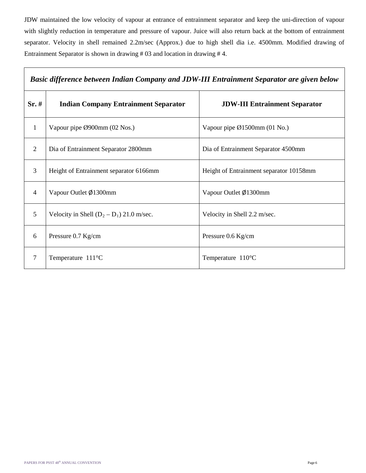JDW maintained the low velocity of vapour at entrance of entrainment separator and keep the uni-direction of vapour with slightly reduction in temperature and pressure of vapour. Juice will also return back at the bottom of entrainment separator. Velocity in shell remained 2.2m/sec (Approx.) due to high shell dia i.e. 4500mm. Modified drawing of Entrainment Separator is shown in drawing # 03 and location in drawing # 4.

| Basic difference between Indian Company and JDW-III Entrainment Separator are given below |                                             |                                         |  |  |
|-------------------------------------------------------------------------------------------|---------------------------------------------|-----------------------------------------|--|--|
| Sr.#                                                                                      | <b>Indian Company Entrainment Separator</b> | <b>JDW-III Entrainment Separator</b>    |  |  |
| $\mathbf{1}$                                                                              | Vapour pipe Ø900mm (02 Nos.)                | Vapour pipe $\emptyset$ 1500mm (01 No.) |  |  |
| $\overline{2}$                                                                            | Dia of Entrainment Separator 2800mm         | Dia of Entrainment Separator 4500mm     |  |  |
| 3                                                                                         | Height of Entrainment separator 6166mm      | Height of Entrainment separator 10158mm |  |  |
| $\overline{4}$                                                                            | Vapour Outlet Ø1300mm                       | Vapour Outlet Ø1300mm                   |  |  |
| 5                                                                                         | Velocity in Shell $(D_2 - D_1)$ 21.0 m/sec. | Velocity in Shell 2.2 m/sec.            |  |  |
| 6                                                                                         | Pressure 0.7 Kg/cm                          | Pressure 0.6 Kg/cm                      |  |  |
| $\overline{7}$                                                                            | Temperature 111°C                           | Temperature $110^{\circ}$ C             |  |  |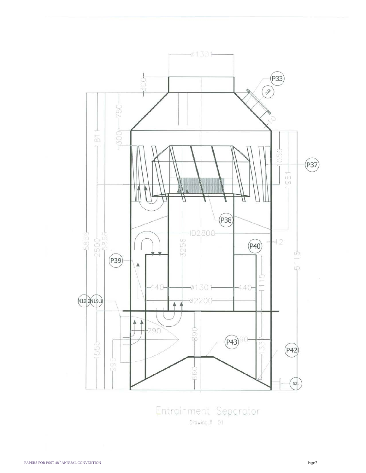

Entrainment Separator  $Drowing. # 01$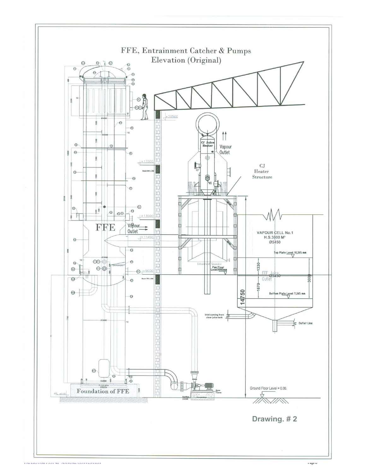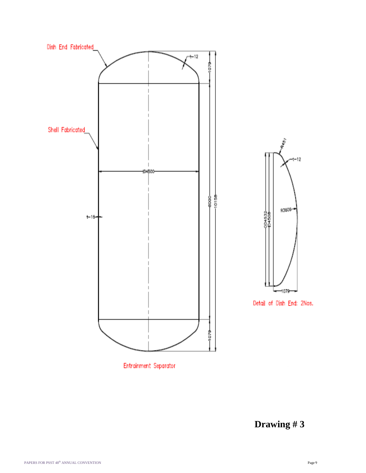

Entrainment Separator

**Drawing # 3**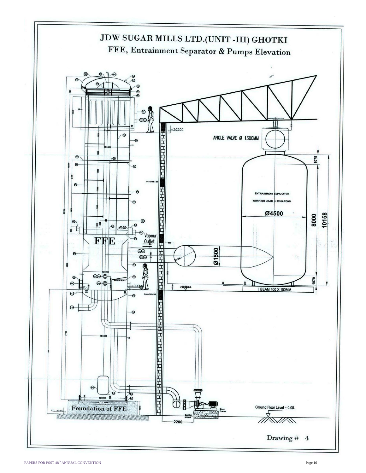